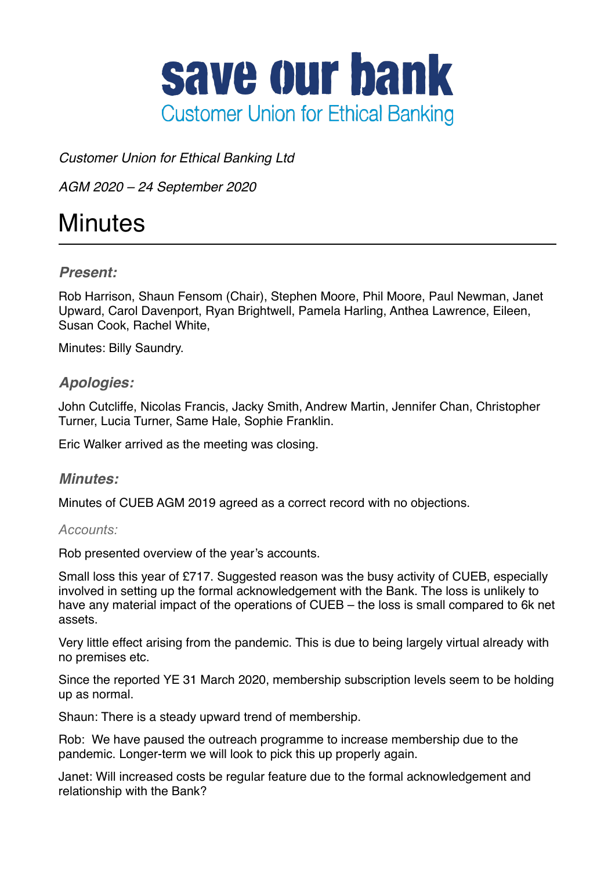

*Customer Union for Ethical Banking Ltd*

*AGM 2020 – 24 September 2020*

# **Minutes**

# *Present:*

Rob Harrison, Shaun Fensom (Chair), Stephen Moore, Phil Moore, Paul Newman, Janet Upward, Carol Davenport, Ryan Brightwell, Pamela Harling, Anthea Lawrence, Eileen, Susan Cook, Rachel White,

Minutes: Billy Saundry.

# *Apologies:*

John Cutcliffe, Nicolas Francis, Jacky Smith, Andrew Martin, Jennifer Chan, Christopher Turner, Lucia Turner, Same Hale, Sophie Franklin.

Eric Walker arrived as the meeting was closing.

### *Minutes:*

Minutes of CUEB AGM 2019 agreed as a correct record with no objections.

### *Accounts:*

Rob presented overview of the year's accounts.

Small loss this year of £717. Suggested reason was the busy activity of CUEB, especially involved in setting up the formal acknowledgement with the Bank. The loss is unlikely to have any material impact of the operations of CUEB – the loss is small compared to 6k net assets.

Very little effect arising from the pandemic. This is due to being largely virtual already with no premises etc.

Since the reported YE 31 March 2020, membership subscription levels seem to be holding up as normal.

Shaun: There is a steady upward trend of membership.

Rob: We have paused the outreach programme to increase membership due to the pandemic. Longer-term we will look to pick this up properly again.

Janet: Will increased costs be regular feature due to the formal acknowledgement and relationship with the Bank?